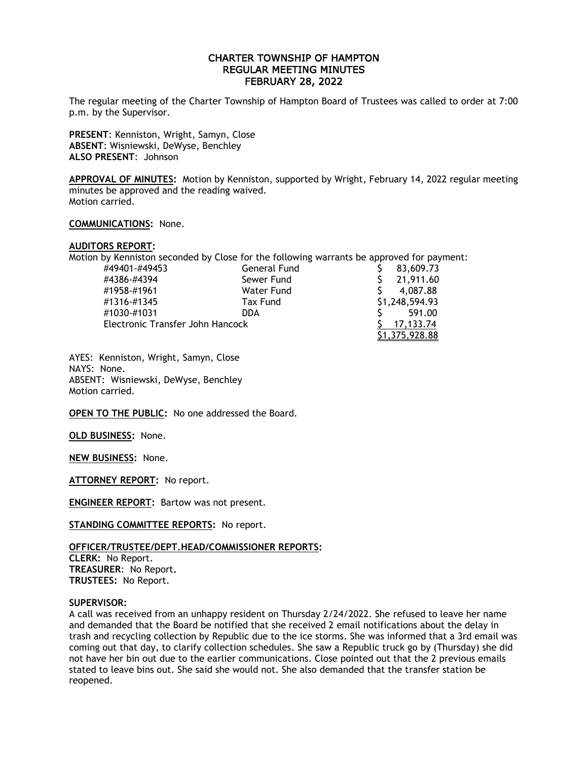# CHARTER TOWNSHIP OF HAMPTON REGULAR MEETING MINUTES FEBRUARY 28, 2022

The regular meeting of the Charter Township of Hampton Board of Trustees was called to order at 7:00 p.m. by the Supervisor.

**PRESENT**: Kenniston, Wright, Samyn, Close **ABSENT**: Wisniewski, DeWyse, Benchley **ALSO PRESENT**: Johnson

**APPROVAL OF MINUTES:** Motion by Kenniston, supported by Wright, February 14, 2022 regular meeting minutes be approved and the reading waived. Motion carried.

### **COMMUNICATIONS:** None.

### **AUDITORS REPORT:**

Motion by Kenniston seconded by Close for the following warrants be approved for payment:

| #49401-#49453                    | General Fund | 83,609.73      |
|----------------------------------|--------------|----------------|
| #4386-#4394                      | Sewer Fund   | 21,911.60      |
| #1958-#1961                      | Water Fund   | 4.087.88       |
| #1316-#1345                      | Tax Fund     | \$1,248,594.93 |
| #1030-#1031                      | DDA.         | 591.00         |
| Electronic Transfer John Hancock |              | 17.133.74      |
|                                  |              | \$1,375,928.88 |

AYES: Kenniston, Wright, Samyn, Close NAYS: None. ABSENT: Wisniewski, DeWyse, Benchley Motion carried.

**OPEN TO THE PUBLIC:** No one addressed the Board.

**OLD BUSINESS:** None.

**NEW BUSINESS:** None.

**ATTORNEY REPORT:** No report.

**ENGINEER REPORT:** Bartow was not present.

**STANDING COMMITTEE REPORTS:** No report.

## **OFFICER/TRUSTEE/DEPT.HEAD/COMMISSIONER REPORTS:**

**CLERK:** No Report. **TREASURER**: No Report**. TRUSTEES:** No Report.

#### **SUPERVISOR:**

A call was received from an unhappy resident on Thursday 2/24/2022. She refused to leave her name and demanded that the Board be notified that she received 2 email notifications about the delay in trash and recycling collection by Republic due to the ice storms. She was informed that a 3rd email was coming out that day, to clarify collection schedules. She saw a Republic truck go by (Thursday) she did not have her bin out due to the earlier communications. Close pointed out that the 2 previous emails stated to leave bins out. She said she would not. She also demanded that the transfer station be reopened.